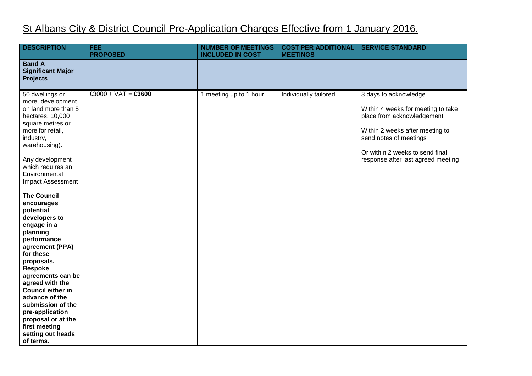## St Albans City & District Council Pre-Application Charges Effective from 1 January 2016.

| <b>DESCRIPTION</b>                                                                                                                                                                                                                                                                                                                                                                                                                                                                                                                                   | <b>FEE</b><br><b>PROPOSED</b> | <b>NUMBER OF MEETINGS</b><br><b>INCLUDED IN COST</b> | <b>COST PER ADDITIONAL</b><br><b>MEETINGS</b> | <b>SERVICE STANDARD</b>                                                                                                                                                                                                         |
|------------------------------------------------------------------------------------------------------------------------------------------------------------------------------------------------------------------------------------------------------------------------------------------------------------------------------------------------------------------------------------------------------------------------------------------------------------------------------------------------------------------------------------------------------|-------------------------------|------------------------------------------------------|-----------------------------------------------|---------------------------------------------------------------------------------------------------------------------------------------------------------------------------------------------------------------------------------|
| <b>Band A</b><br><b>Significant Major</b><br><b>Projects</b>                                                                                                                                                                                                                                                                                                                                                                                                                                                                                         |                               |                                                      |                                               |                                                                                                                                                                                                                                 |
| 50 dwellings or<br>more, development<br>on land more than 5<br>hectares, 10,000<br>square metres or<br>more for retail,<br>industry,<br>warehousing).<br>Any development<br>which requires an<br>Environmental<br><b>Impact Assessment</b><br><b>The Council</b><br>encourages<br>potential<br>developers to<br>engage in a<br>planning<br>performance<br>agreement (PPA)<br>for these<br>proposals.<br><b>Bespoke</b><br>agreements can be<br>agreed with the<br><b>Council either in</b><br>advance of the<br>submission of the<br>pre-application | $£3000 + VAT = £3600$         | 1 meeting up to 1 hour                               | Individually tailored                         | 3 days to acknowledge<br>Within 4 weeks for meeting to take<br>place from acknowledgement<br>Within 2 weeks after meeting to<br>send notes of meetings<br>Or within 2 weeks to send final<br>response after last agreed meeting |
| proposal or at the<br>first meeting<br>setting out heads<br>of terms.                                                                                                                                                                                                                                                                                                                                                                                                                                                                                |                               |                                                      |                                               |                                                                                                                                                                                                                                 |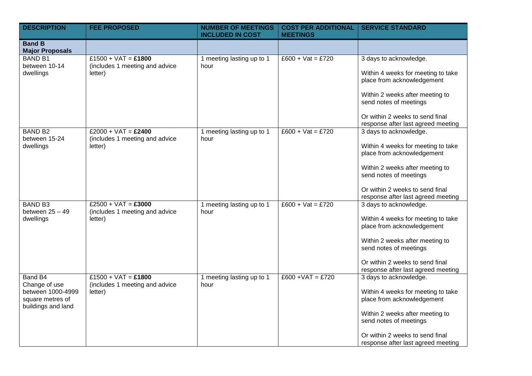| <b>DESCRIPTION</b>                                                                      | <b>FEE PROPOSED</b>                                                | <b>NUMBER OF MEETINGS</b><br><b>INCLUDED IN COST</b> | <b>COST PER ADDITIONAL</b><br><b>MEETINGS</b> | <b>SERVICE STANDARD</b>                                                                                                                                                                                                          |
|-----------------------------------------------------------------------------------------|--------------------------------------------------------------------|------------------------------------------------------|-----------------------------------------------|----------------------------------------------------------------------------------------------------------------------------------------------------------------------------------------------------------------------------------|
| <b>Band B</b><br><b>Major Proposals</b>                                                 |                                                                    |                                                      |                                               |                                                                                                                                                                                                                                  |
| <b>BAND B1</b><br>between 10-14<br>dwellings                                            | £1500 + VAT = £1800<br>(includes 1 meeting and advice<br>letter)   | 1 meeting lasting up to 1<br>hour                    | $£600 + Vat = £720$                           | 3 days to acknowledge.<br>Within 4 weeks for meeting to take<br>place from acknowledgement<br>Within 2 weeks after meeting to<br>send notes of meetings<br>Or within 2 weeks to send final<br>response after last agreed meeting |
| <b>BAND B2</b><br>between 15-24<br>dwellings                                            | $£2000 + VAT = £2400$<br>(includes 1 meeting and advice<br>letter) | 1 meeting lasting up to 1<br>hour                    | $£600 + Vat = £720$                           | 3 days to acknowledge.<br>Within 4 weeks for meeting to take<br>place from acknowledgement<br>Within 2 weeks after meeting to<br>send notes of meetings<br>Or within 2 weeks to send final<br>response after last agreed meeting |
| <b>BAND B3</b><br>between $25 - 49$<br>dwellings                                        | $£2500 + VAT = £3000$<br>(includes 1 meeting and advice<br>letter) | 1 meeting lasting up to 1<br>hour                    | $£600 + Vat = £720$                           | 3 days to acknowledge.<br>Within 4 weeks for meeting to take<br>place from acknowledgement<br>Within 2 weeks after meeting to<br>send notes of meetings<br>Or within 2 weeks to send final<br>response after last agreed meeting |
| Band B4<br>Change of use<br>between 1000-4999<br>square metres of<br>buildings and land | £1500 + VAT = £1800<br>(includes 1 meeting and advice<br>letter)   | 1 meeting lasting up to 1<br>hour                    | $£600 + VAT = £720$                           | 3 days to acknowledge.<br>Within 4 weeks for meeting to take<br>place from acknowledgement<br>Within 2 weeks after meeting to<br>send notes of meetings<br>Or within 2 weeks to send final<br>response after last agreed meeting |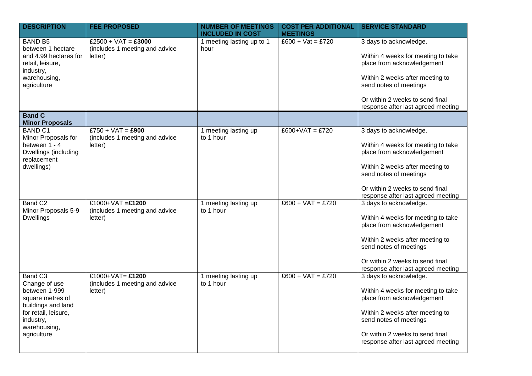| <b>DESCRIPTION</b>                                                                                                                                                  | <b>FEE PROPOSED</b>                                                | <b>NUMBER OF MEETINGS</b><br><b>INCLUDED IN COST</b> | <b>COST PER ADDITIONAL</b><br><b>MEETINGS</b> | <b>SERVICE STANDARD</b>                                                                                                                                                                                                          |
|---------------------------------------------------------------------------------------------------------------------------------------------------------------------|--------------------------------------------------------------------|------------------------------------------------------|-----------------------------------------------|----------------------------------------------------------------------------------------------------------------------------------------------------------------------------------------------------------------------------------|
| <b>BAND B5</b><br>between 1 hectare<br>and 4.99 hectares for<br>retail, leisure,<br>industry,<br>warehousing,<br>agriculture                                        | $£2500 + VAT = £3000$<br>(includes 1 meeting and advice<br>letter) | 1 meeting lasting up to 1<br>hour                    | $£600 + Vat = £720$                           | 3 days to acknowledge.<br>Within 4 weeks for meeting to take<br>place from acknowledgement<br>Within 2 weeks after meeting to<br>send notes of meetings<br>Or within 2 weeks to send final<br>response after last agreed meeting |
| <b>Band C</b><br><b>Minor Proposals</b>                                                                                                                             |                                                                    |                                                      |                                               |                                                                                                                                                                                                                                  |
| <b>BAND C1</b><br>Minor Proposals for<br>between 1 - 4<br>Dwellings (including<br>replacement<br>dwellings)                                                         | $£750 + VAT = £900$<br>(includes 1 meeting and advice<br>letter)   | 1 meeting lasting up<br>to 1 hour                    | $£600+VAT = £720$                             | 3 days to acknowledge.<br>Within 4 weeks for meeting to take<br>place from acknowledgement<br>Within 2 weeks after meeting to<br>send notes of meetings<br>Or within 2 weeks to send final<br>response after last agreed meeting |
| Band C <sub>2</sub><br>Minor Proposals 5-9<br><b>Dwellings</b>                                                                                                      | £1000+VAT =£1200<br>(includes 1 meeting and advice<br>letter)      | 1 meeting lasting up<br>to 1 hour                    | $£600 + VAT = £720$                           | 3 days to acknowledge.<br>Within 4 weeks for meeting to take<br>place from acknowledgement<br>Within 2 weeks after meeting to<br>send notes of meetings<br>Or within 2 weeks to send final<br>response after last agreed meeting |
| Band C <sub>3</sub><br>Change of use<br>between 1-999<br>square metres of<br>buildings and land<br>for retail, leisure,<br>industry,<br>warehousing,<br>agriculture | £1000+VAT= $£1200$<br>(includes 1 meeting and advice<br>letter)    | 1 meeting lasting up<br>to 1 hour                    | $£600 + VAT = £720$                           | 3 days to acknowledge.<br>Within 4 weeks for meeting to take<br>place from acknowledgement<br>Within 2 weeks after meeting to<br>send notes of meetings<br>Or within 2 weeks to send final<br>response after last agreed meeting |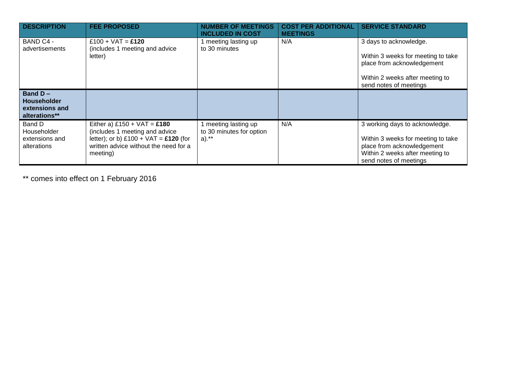| <b>DESCRIPTION</b>                                                  | <b>FEE PROPOSED</b>                                                                                                                                             | <b>NUMBER OF MEETINGS</b><br><b>INCLUDED IN COST</b>         | <b>COST PER ADDITIONAL</b><br><b>MEETINGS</b> | <b>SERVICE STANDARD</b>                                                                                                                                         |
|---------------------------------------------------------------------|-----------------------------------------------------------------------------------------------------------------------------------------------------------------|--------------------------------------------------------------|-----------------------------------------------|-----------------------------------------------------------------------------------------------------------------------------------------------------------------|
| BAND C4 -<br>advertisements                                         | £100 + $VAT =$ £120<br>(includes 1 meeting and advice<br>letter)                                                                                                | I meeting lasting up<br>to 30 minutes                        | N/A                                           | 3 days to acknowledge.<br>Within 3 weeks for meeting to take<br>place from acknowledgement<br>Within 2 weeks after meeting to<br>send notes of meetings         |
| Band $D -$<br><b>Householder</b><br>extensions and<br>alterations** |                                                                                                                                                                 |                                                              |                                               |                                                                                                                                                                 |
| Band D<br>Householder<br>extensions and<br>alterations              | Either a) £150 + $VAT = £180$<br>(includes 1 meeting and advice<br>letter); or b) £100 + $VAT = £120$ (for<br>written advice without the need for a<br>meeting) | 1 meeting lasting up<br>to 30 minutes for option<br>$a)$ .** | N/A                                           | 3 working days to acknowledge.<br>Within 3 weeks for meeting to take<br>place from acknowledgement<br>Within 2 weeks after meeting to<br>send notes of meetings |

\*\* comes into effect on 1 February 2016